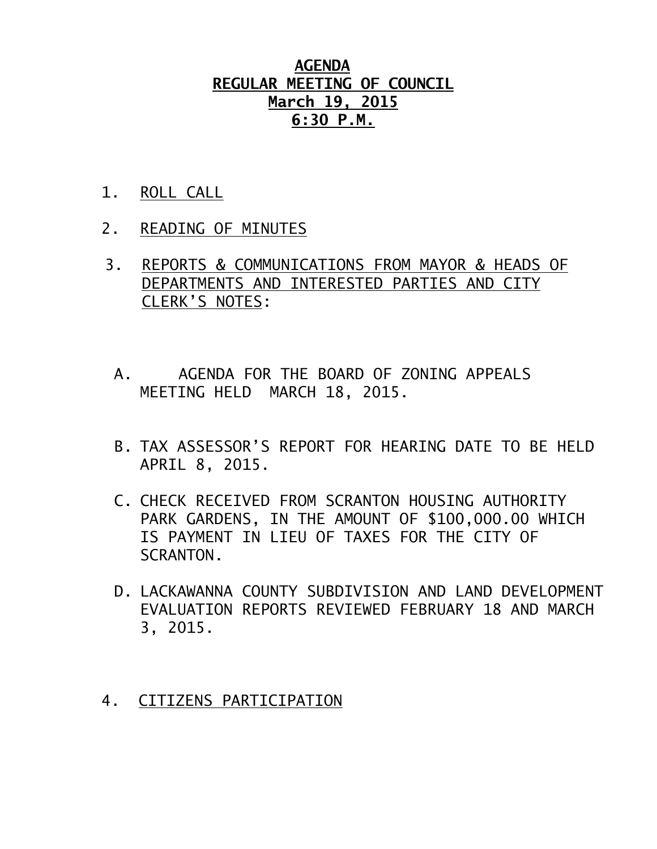### **AGENDA REGULAR MEETING OF COUNCIL March 19, 2015 6:30 P.M.**

- 1. ROLL CALL
- 2. READING OF MINUTES
- 3. REPORTS & COMMUNICATIONS FROM MAYOR & HEADS OF DEPARTMENTS AND INTERESTED PARTIES AND CITY CLERK'S NOTES:
	- A. AGENDA FOR THE BOARD OF ZONING APPEALS MEETING HELD MARCH 18, 2015.
	- B. TAX ASSESSOR'S REPORT FOR HEARING DATE TO BE HELD APRIL 8, 2015.
	- C. CHECK RECEIVED FROM SCRANTON HOUSING AUTHORITY PARK GARDENS, IN THE AMOUNT OF \$100,000.00 WHICH IS PAYMENT IN LIEU OF TAXES FOR THE CITY OF SCRANTON.
	- D. LACKAWANNA COUNTY SUBDIVISION AND LAND DEVELOPMENT EVALUATION REPORTS REVIEWED FEBRUARY 18 AND MARCH 3, 2015.
- 4. CITIZENS PARTICIPATION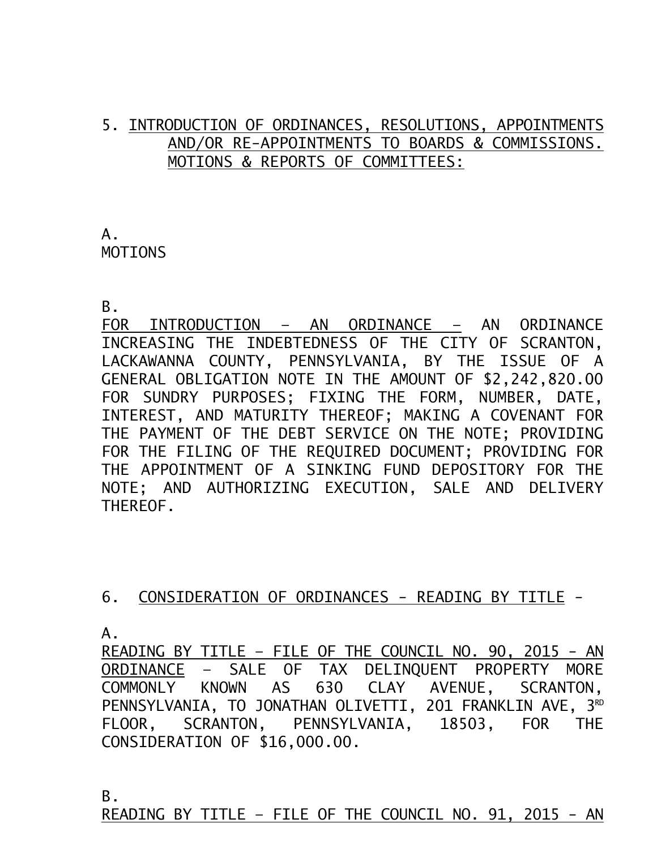## 5. INTRODUCTION OF ORDINANCES, RESOLUTIONS, APPOINTMENTS AND/OR RE-APPOINTMENTS TO BOARDS & COMMISSIONS. MOTIONS & REPORTS OF COMMITTEES:

# A. MOTIONS

B.

FOR INTRODUCTION – AN ORDINANCE – AN ORDINANCE INCREASING THE INDEBTEDNESS OF THE CITY OF SCRANTON, LACKAWANNA COUNTY, PENNSYLVANIA, BY THE ISSUE OF A GENERAL OBLIGATION NOTE IN THE AMOUNT OF \$2,242,820.00 FOR SUNDRY PURPOSES; FIXING THE FORM, NUMBER, DATE, INTEREST, AND MATURITY THEREOF; MAKING A COVENANT FOR THE PAYMENT OF THE DEBT SERVICE ON THE NOTE; PROVIDING FOR THE FILING OF THE REQUIRED DOCUMENT; PROVIDING FOR THE APPOINTMENT OF A SINKING FUND DEPOSITORY FOR THE NOTE; AND AUTHORIZING EXECUTION, SALE AND DELIVERY THEREOF.

## 6. CONSIDERATION OF ORDINANCES - READING BY TITLE -

 $A<sub>-</sub>$ 

READING BY TITLE – FILE OF THE COUNCIL NO. 90, 2015 - AN ORDINANCE – SALE OF TAX DELINQUENT PROPERTY MORE COMMONLY KNOWN AS 630 CLAY AVENUE, SCRANTON, PENNSYLVANIA, TO JONATHAN OLIVETTI, 201 FRANKLIN AVE, 3<sup>RD</sup> FLOOR, SCRANTON, PENNSYLVANIA, 18503, FOR THE CONSIDERATION OF \$16,000.00.

B.

READING BY TITLE – FILE OF THE COUNCIL NO. 91, 2015 - AN